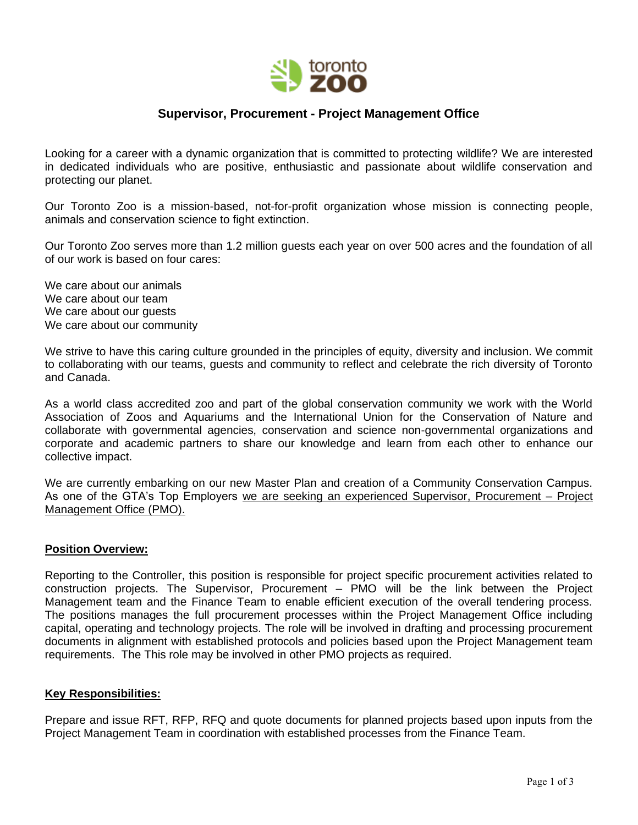

# **Supervisor, Procurement - Project Management Office**

Looking for a career with a dynamic organization that is committed to protecting wildlife? We are interested in dedicated individuals who are positive, enthusiastic and passionate about wildlife conservation and protecting our planet.

Our Toronto Zoo is a mission-based, not-for-profit organization whose mission is connecting people, animals and conservation science to fight extinction.

Our Toronto Zoo serves more than 1.2 million guests each year on over 500 acres and the foundation of all of our work is based on four cares:

We care about our animals We care about our team We care about our guests We care about our community

We strive to have this caring culture grounded in the principles of equity, diversity and inclusion. We commit to collaborating with our teams, guests and community to reflect and celebrate the rich diversity of Toronto and Canada.

As a world class accredited zoo and part of the global conservation community we work with the World Association of Zoos and Aquariums and the International Union for the Conservation of Nature and collaborate with governmental agencies, conservation and science non-governmental organizations and corporate and academic partners to share our knowledge and learn from each other to enhance our collective impact.

We are currently embarking on our new Master Plan and creation of a Community Conservation Campus. As one of the GTA's Top Employers we are seeking an experienced Supervisor, Procurement – Project Management Office (PMO).

### **Position Overview:**

Reporting to the Controller, this position is responsible for project specific procurement activities related to construction projects. The Supervisor, Procurement – PMO will be the link between the Project Management team and the Finance Team to enable efficient execution of the overall tendering process. The positions manages the full procurement processes within the Project Management Office including capital, operating and technology projects. The role will be involved in drafting and processing procurement documents in alignment with established protocols and policies based upon the Project Management team requirements. The This role may be involved in other PMO projects as required.

### **Key Responsibilities:**

Prepare and issue RFT, RFP, RFQ and quote documents for planned projects based upon inputs from the Project Management Team in coordination with established processes from the Finance Team.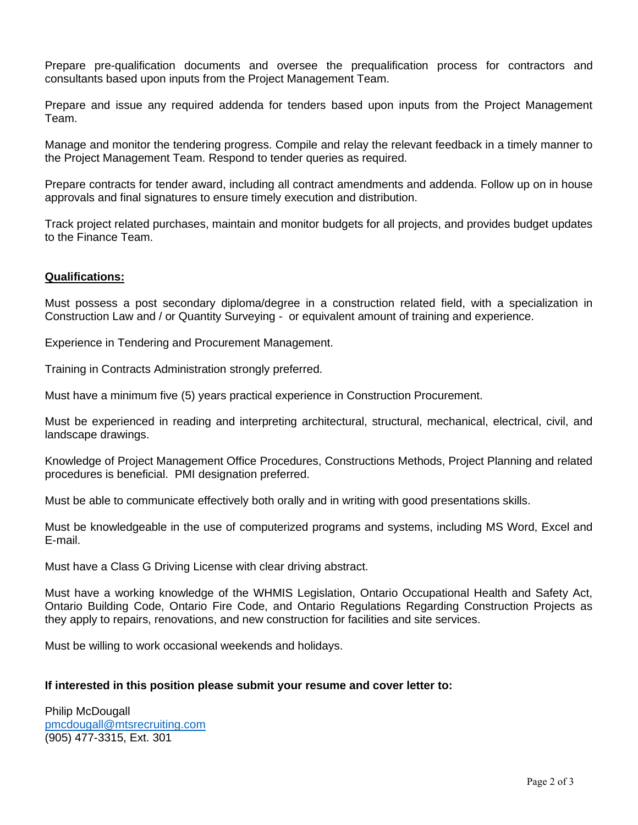Prepare pre-qualification documents and oversee the prequalification process for contractors and consultants based upon inputs from the Project Management Team.

Prepare and issue any required addenda for tenders based upon inputs from the Project Management Team.

Manage and monitor the tendering progress. Compile and relay the relevant feedback in a timely manner to the Project Management Team. Respond to tender queries as required.

Prepare contracts for tender award, including all contract amendments and addenda. Follow up on in house approvals and final signatures to ensure timely execution and distribution.

Track project related purchases, maintain and monitor budgets for all projects, and provides budget updates to the Finance Team.

### **Qualifications:**

Must possess a post secondary diploma/degree in a construction related field, with a specialization in Construction Law and / or Quantity Surveying - or equivalent amount of training and experience.

Experience in Tendering and Procurement Management.

Training in Contracts Administration strongly preferred.

Must have a minimum five (5) years practical experience in Construction Procurement.

Must be experienced in reading and interpreting architectural, structural, mechanical, electrical, civil, and landscape drawings.

Knowledge of Project Management Office Procedures, Constructions Methods, Project Planning and related procedures is beneficial. PMI designation preferred.

Must be able to communicate effectively both orally and in writing with good presentations skills.

Must be knowledgeable in the use of computerized programs and systems, including MS Word, Excel and E-mail.

Must have a Class G Driving License with clear driving abstract.

Must have a working knowledge of the WHMIS Legislation, Ontario Occupational Health and Safety Act, Ontario Building Code, Ontario Fire Code, and Ontario Regulations Regarding Construction Projects as they apply to repairs, renovations, and new construction for facilities and site services.

Must be willing to work occasional weekends and holidays.

### **If interested in this position please submit your resume and cover letter to:**

Philip McDougall [pmcdougall@mtsrecruiting.com](mailto:pmcdougall@mtsrecruiting.com) (905) 477-3315, Ext. 301